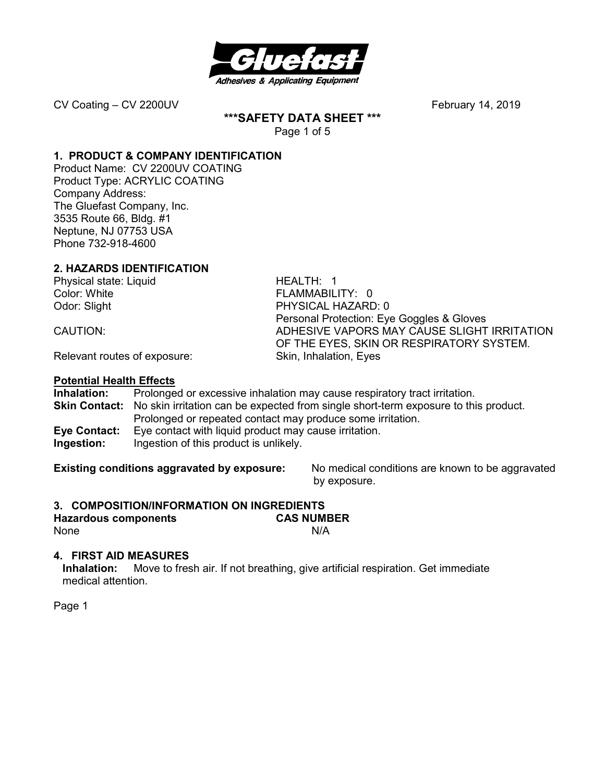

**\*\*\*SAFETY DATA SHEET \*\*\*** 

Page 1 of 5

#### **1. PRODUCT & COMPANY IDENTIFICATION**

Product Name: CV 2200UV COATING Product Type: ACRYLIC COATING Company Address: The Gluefast Company, Inc. 3535 Route 66, Bldg. #1 Neptune, NJ 07753 USA Phone 732-918-4600

#### **2. HAZARDS IDENTIFICATION**

Physical state: Liquid HEALTH: 1 Color: White **FLAMMABILITY:** 0

Odor: Slight PHYSICAL HAZARD: 0 Personal Protection: Eye Goggles & Gloves CAUTION: ADHESIVE VAPORS MAY CAUSE SLIGHT IRRITATION OF THE EYES, SKIN OR RESPIRATORY SYSTEM.

Relevant routes of exposure: Skin, Inhalation, Eyes

#### **Potential Health Effects**

**Inhalation:** Prolonged or excessive inhalation may cause respiratory tract irritation. **Skin Contact:** No skin irritation can be expected from single short-term exposure to this product. Prolonged or repeated contact may produce some irritation. **Eye Contact:** Eye contact with liquid product may cause irritation. **Ingestion:** Ingestion of this product is unlikely.

**Existing conditions aggravated by exposure:** No medical conditions are known to be aggravated by exposure.

#### **3. COMPOSITION/INFORMATION ON INGREDIENTS**

**Hazardous components CAS NUMBER**  None N/A

### **4. FIRST AID MEASURES**

**Inhalation:** Move to fresh air. If not breathing, give artificial respiration. Get immediate medical attention.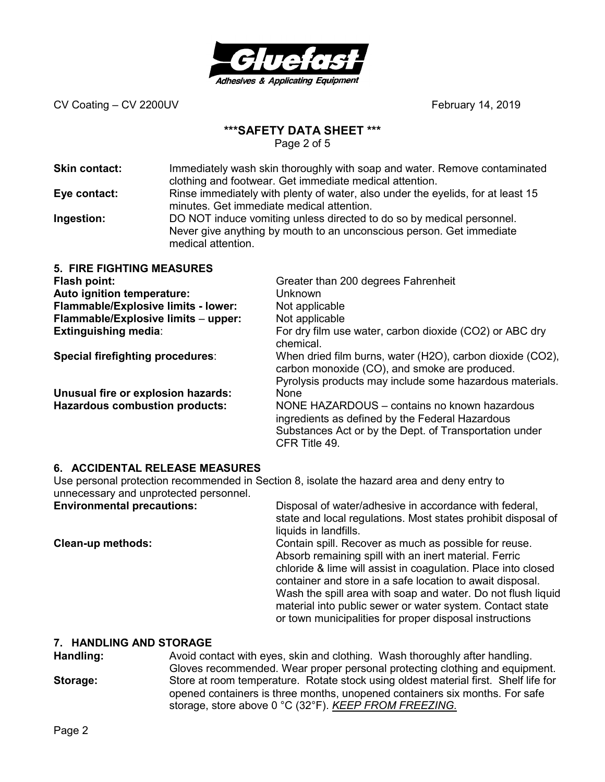

### **\*\*\*SAFETY DATA SHEET \*\*\***

Page 2 of 5

| <b>Skin contact:</b><br>Eye contact:<br>Ingestion:                                                                                                                                                                              | Immediately wash skin thoroughly with soap and water. Remove contaminated<br>clothing and footwear. Get immediate medical attention.<br>Rinse immediately with plenty of water, also under the eyelids, for at least 15<br>minutes. Get immediate medical attention.<br>DO NOT induce vomiting unless directed to do so by medical personnel.<br>Never give anything by mouth to an unconscious person. Get immediate<br>medical attention. |                                                                                                                                                                                                                                                                                                 |  |  |
|---------------------------------------------------------------------------------------------------------------------------------------------------------------------------------------------------------------------------------|---------------------------------------------------------------------------------------------------------------------------------------------------------------------------------------------------------------------------------------------------------------------------------------------------------------------------------------------------------------------------------------------------------------------------------------------|-------------------------------------------------------------------------------------------------------------------------------------------------------------------------------------------------------------------------------------------------------------------------------------------------|--|--|
| <b>5. FIRE FIGHTING MEASURES</b><br>Flash point:<br>Auto ignition temperature:<br>Flammable/Explosive limits - lower:<br>Flammable/Explosive limits - upper:<br><b>Extinguishing media:</b><br>Special firefighting procedures: |                                                                                                                                                                                                                                                                                                                                                                                                                                             | Greater than 200 degrees Fahrenheit<br><b>Unknown</b><br>Not applicable<br>Not applicable<br>For dry film use water, carbon dioxide (CO2) or ABC dry<br>chemical.<br>When dried film burns, water (H2O), carbon dioxide (CO2),                                                                  |  |  |
| Unusual fire or explosion hazards:<br><b>Hazardous combustion products:</b>                                                                                                                                                     |                                                                                                                                                                                                                                                                                                                                                                                                                                             | carbon monoxide (CO), and smoke are produced.<br>Pyrolysis products may include some hazardous materials.<br>None<br>NONE HAZARDOUS - contains no known hazardous<br>ingredients as defined by the Federal Hazardous<br>Substances Act or by the Dept. of Transportation under<br>CFR Title 49. |  |  |

#### **6. ACCIDENTAL RELEASE MEASURES**

Use personal protection recommended in Section 8, isolate the hazard area and deny entry to unnecessary and unprotected personnel.<br>Environmental precautions:

**Environmental precautions:** Disposal of water/adhesive in accordance with federal, state and local regulations. Most states prohibit disposal of liquids in landfills.

**Clean-up methods: Contain spill. Recover as much as possible for reuse.** Absorb remaining spill with an inert material. Ferric chloride & lime will assist in coagulation. Place into closed container and store in a safe location to await disposal. Wash the spill area with soap and water. Do not flush liquid material into public sewer or water system. Contact state or town municipalities for proper disposal instructions

#### **7. HANDLING AND STORAGE**

**Handling:** Avoid contact with eyes, skin and clothing. Wash thoroughly after handling. Gloves recommended. Wear proper personal protecting clothing and equipment. **Storage:** Store at room temperature. Rotate stock using oldest material first. Shelf life for opened containers is three months, unopened containers six months. For safe storage, store above 0 °C (32°F). *KEEP FROM FREEZING.*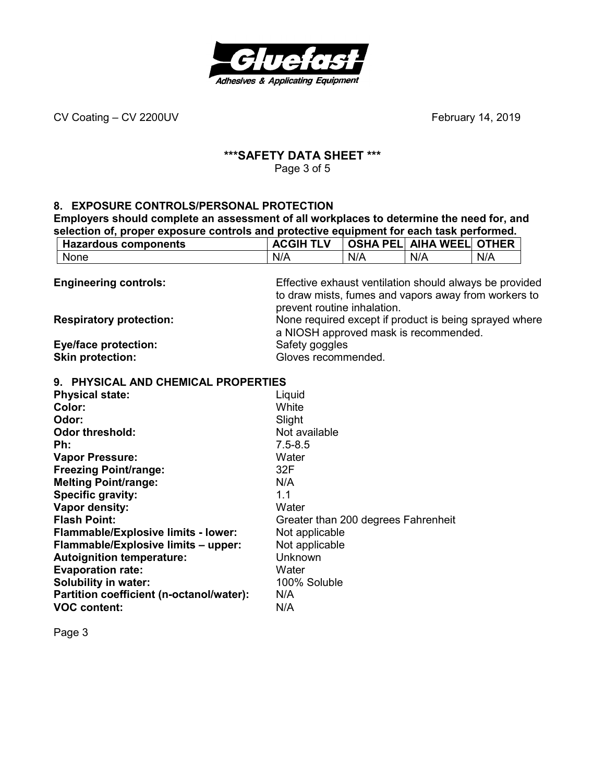

## **\*\*\*SAFETY DATA SHEET \*\*\***

Page 3 of 5

#### **8. EXPOSURE CONTROLS/PERSONAL PROTECTION**

**Employers should complete an assessment of all workplaces to determine the need for, and selection of, proper exposure controls and protective equipment for each task performed.** 

| <b>Hazardous components</b>                            | <b>ACGIH TLV</b>                                                                                                               |     | <b>OSHA PEL AIHA WEEL OTHER</b> |     |  |
|--------------------------------------------------------|--------------------------------------------------------------------------------------------------------------------------------|-----|---------------------------------|-----|--|
| None                                                   | N/A                                                                                                                            | N/A | N/A                             | N/A |  |
| <b>Engineering controls:</b>                           | Effective exhaust ventilation should always be provided<br>to draw mists, fumes and vapors away from workers to                |     |                                 |     |  |
| <b>Respiratory protection:</b>                         | prevent routine inhalation.<br>None required except if product is being sprayed where<br>a NIOSH approved mask is recommended. |     |                                 |     |  |
| <b>Eye/face protection:</b><br><b>Skin protection:</b> | Safety goggles<br>Gloves recommended.                                                                                          |     |                                 |     |  |

#### **9. PHYSICAL AND CHEMICAL PROPERTIES**

| <b>Physical state:</b>                     | Liquid                              |
|--------------------------------------------|-------------------------------------|
| Color:                                     | White                               |
| Odor:                                      | Slight                              |
| <b>Odor threshold:</b>                     | Not available                       |
| Ph:                                        | $7.5 - 8.5$                         |
| <b>Vapor Pressure:</b>                     | Water                               |
| <b>Freezing Point/range:</b>               | 32F                                 |
| <b>Melting Point/range:</b>                | N/A                                 |
| <b>Specific gravity:</b>                   | 1.1                                 |
| Vapor density:                             | Water                               |
| <b>Flash Point:</b>                        | Greater than 200 degrees Fahrenheit |
| <b>Flammable/Explosive limits - lower:</b> | Not applicable                      |
| Flammable/Explosive limits - upper:        | Not applicable                      |
| <b>Autoignition temperature:</b>           | Unknown                             |
| <b>Evaporation rate:</b>                   | Water                               |
| Solubility in water:                       | 100% Soluble                        |
| Partition coefficient (n-octanol/water):   | N/A                                 |
| <b>VOC content:</b>                        | N/A                                 |
|                                            |                                     |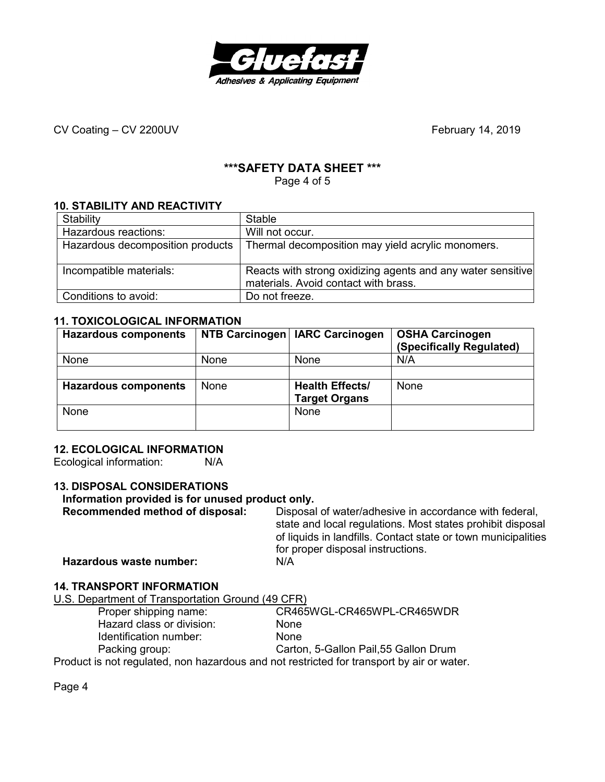

#### **\*\*\*SAFETY DATA SHEET \*\*\***

Page 4 of 5

#### **10. STABILITY AND REACTIVITY**

| Stability                        | <b>Stable</b>                                                                                       |
|----------------------------------|-----------------------------------------------------------------------------------------------------|
| Hazardous reactions:             | Will not occur.                                                                                     |
| Hazardous decomposition products | Thermal decomposition may yield acrylic monomers.                                                   |
| Incompatible materials:          | Reacts with strong oxidizing agents and any water sensitive<br>materials. Avoid contact with brass. |
| Conditions to avoid:             | Do not freeze.                                                                                      |

#### **11. TOXICOLOGICAL INFORMATION**

| <b>Hazardous components</b> |      | NTB Carcinogen   IARC Carcinogen | <b>OSHA Carcinogen</b><br>(Specifically Regulated) |
|-----------------------------|------|----------------------------------|----------------------------------------------------|
| None                        | None | None                             | N/A                                                |
|                             |      |                                  |                                                    |
| <b>Hazardous components</b> | None | <b>Health Effects/</b>           | None                                               |
|                             |      | <b>Target Organs</b>             |                                                    |
| None                        |      | None                             |                                                    |
|                             |      |                                  |                                                    |

#### **12. ECOLOGICAL INFORMATION**

Ecological information: N/A

### **13. DISPOSAL CONSIDERATIONS**

# **Information provided is for unused product only.**

Disposal of water/adhesive in accordance with federal, state and local regulations. Most states prohibit disposal of liquids in landfills. Contact state or town municipalities for proper disposal instructions.<br>N/A **Hazardous waste number:** 

## **14. TRANSPORT INFORMATION**

|  |  |  | U.S. Department of Transportation Ground (49 CFR) |
|--|--|--|---------------------------------------------------|

| Proper shipping name:     | CR465WGL-CR465WPL-CR465WDR                                                                |
|---------------------------|-------------------------------------------------------------------------------------------|
| Hazard class or division: | <b>None</b>                                                                               |
| Identification number:    | <b>None</b>                                                                               |
| Packing group:            | Carton, 5-Gallon Pail, 55 Gallon Drum                                                     |
|                           | Product is not requisited, non hazardous and not restricted for transport by air or water |

Product is not regulated, non hazardous and not restricted for transport by air or water.